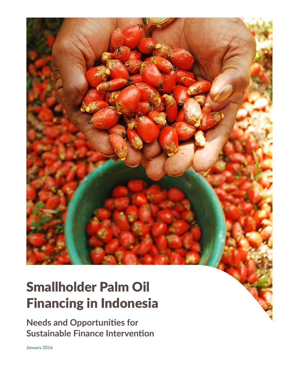

# Smallholder Palm Oil Financing in Indonesia

**Needs and Opportunities for Sustainable Finance Interventon**

**January 2016**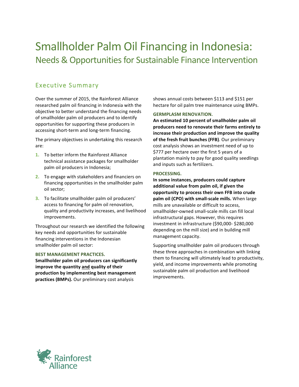## Smallholder Palm Oil Financing in Indonesia: Needs & Opportunities for Sustainable Finance Intervention

### **Executive Summary**

Over the summer of 2015, the Rainforest Alliance researched palm oil financing in Indonesia with the objective to better understand the financing needs of smallholder palm oil producers and to identify opportunities for supporting these producers in accessing short-term and long-term financing.

The primary objectives in undertaking this research are:

- **1.** To better inform the Rainforest Alliance technical assistance packages for smallholder palm oil producers in Indonesia;
- **2.** To engage with stakeholders and financiers on financing opportunities in the smallholder palm oil sector;
- **3.** To facilitate smallholder palm oil producers' access to financing for palm oil renovation, quality and productivity increases, and livelihood improvements.

Throughout our research we identified the following key needs and opportunities for sustainable financing interventions in the Indonesian smallholder palm oil sector:

#### **BEST MANAGEMENT PRACTICES.**

**Smallholder palm oil producers can significantly improve the quantity and quality of their production)by)implementing)best)management)** practices (BMPs). Our preliminary cost analysis

shows annual costs between \$113 and \$151 per hectare for oil palm tree maintenance using BMPs.

#### **GERMPLASM RENOVATION.**

**An)estimated 10 percent of)smallholder)palm)oil) producers)need)to renovate)their)farms)entirely)to** increase their production and improve the quality of the fresh fruit bunches (FFB). Our preliminary cost analysis shows an investment need of up to \$777 per hectare over the first 5 years of a plantation mainly to pay for good quality seedlings and inputs such as fertilizers.

#### **PROCESSING.**

In some instances, producers could capture **additional)value)from palm)oil,)if given)the)** opportunity to process their own FFB into crude palm oil (CPO) with small-scale mills. When large mills are unavailable or difficult to access. smallholder-owned small-scale mills can fill local infrastructural gaps. However, this requires investment in infrastructure (\$90,000-\$280,000 depending on the mill size) and in building mill management capacity.

Supporting smallholder palm oil producers through these three approaches in combination with linking them to financing will ultimately lead to productivity, yield, and income improvements while promoting sustainable palm oil production and livelihood improvements.

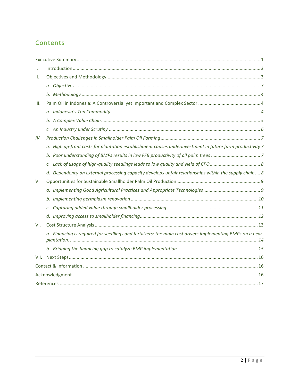### Contents

| I.   |                                                                                                          |  |
|------|----------------------------------------------------------------------------------------------------------|--|
| II.  |                                                                                                          |  |
|      |                                                                                                          |  |
|      |                                                                                                          |  |
| III. |                                                                                                          |  |
|      |                                                                                                          |  |
|      |                                                                                                          |  |
|      |                                                                                                          |  |
| IV.  |                                                                                                          |  |
|      | a. High up-front costs for plantation establishment causes underinvestment in future farm productivity 7 |  |
|      |                                                                                                          |  |
|      |                                                                                                          |  |
|      | d. Dependency on external processing capacity develops unfair relationships within the supply chain 8    |  |
| V.   |                                                                                                          |  |
|      |                                                                                                          |  |
|      |                                                                                                          |  |
|      |                                                                                                          |  |
|      |                                                                                                          |  |
| VI.  |                                                                                                          |  |
|      | a. Financing is required for seedlings and fertilizers: the main cost drivers implementing BMPs on a new |  |
|      |                                                                                                          |  |
| VII. |                                                                                                          |  |
|      |                                                                                                          |  |
|      |                                                                                                          |  |
|      |                                                                                                          |  |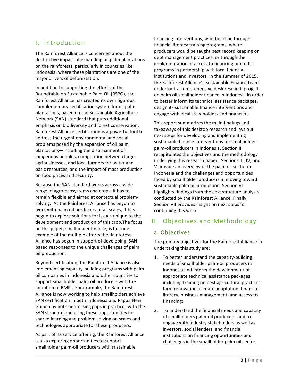### I. Introduction)

The Rainforest Alliance is concerned about the destructive impact of expanding oil palm plantations on the rainforests, particularly in countries like Indonesia, where these plantations are one of the major drivers of deforestation.

In addition to supporting the efforts of the Roundtable on Sustainable Palm Oil (RSPO), the Rainforest Alliance has created its own rigorous, complementary certification system for oil palm plantations, based on the Sustainable Agriculture Network (SAN) standard that puts additional emphasis on biodiversity and forest conservation. Rainforest Alliance certification is a powerful tool to address the urgent environmental and social problems posed by the expansion of oil palm plantations—including the displacement of indigenous peoples, competition between large agribusinesses, and local farmers for water and basic resources, and the impact of mass production on food prices and security.

Because the SAN standard works across a wide range of agro-ecosystems and crops, it has to remain flexible and aimed at contextual problemsolving. As the Rainforest Alliance has begun to work with palm oil producers of all scales, it has begun to explore solutions for issues unique to the development and production of this crop. The focus on this paper, smallholder finance, is but one example of the multiple efforts the Rainforest Alliance has begun in support of developing SANbased responses to the unique challenges of palm oil production.

Beyond certification, the Rainforest Alliance is also implementing capacity-building programs with palm oil companies in Indonesia and other countries to support smallholder palm oil producers with the adoption of BMPs. For example, the Rainforest Alliance is now working to help smallholders achieve SAN certification in both Indonesia and Papua New Guinea by both addressing gaps in practices with the SAN standard and using these opportunities for shared learning and problem solving on scales and technologies appropriate for these producers.

As part of its service offering, the Rainforest Alliance is also exploring opportunities to support smallholder palm-oil producers with sustainable

financing interventions, whether it be through financial literacy training programs, where producers would be taught best record keeping or debt management practices; or through the implementation of access to financing or credit programs in partnership with local financial institutions and investors. In the summer of 2015, the Rainforest Alliance's Sustainable Finance team undertook a comprehensive desk research project on palm oil smallholder finance in Indonesia in order to better inform its technical assistance packages, design its sustainable finance interventions and engage with local stakeholders and financiers.

This report summarizes the main findings and takeaways of this desktop research and lays out next steps for developing and implementing sustainable finance interventions for smallholder palm-oil producers in Indonesia. Section II recapitulates the objectives and the methodology underlying this research paper. Sections III, IV, and V provide an overview of the palm oil sector in Indonesia and the challenges and opportunities faced by smallholder producers in moving toward sustainable palm oil production. Section VI highlights findings from the cost structure analysis conducted by the Rainforest Alliance. Finally, Section VII provides insight on next steps for continuing this work.

### II. Objectives and Methodology

#### a. Objectives)

The primary objectives for the Rainforest Alliance in undertaking this study are:

- 1. To better understand the capacity-building needs of smallholder palm-oil producers in Indonesia and inform the development of appropriate technical assistance packages, including training on best agricultural practices, farm renovation, climate adaptation, financial literacy, business management, and access to financing;
- 2. To understand the financial needs and capacity of smallholders palm-oil producers and to engage with industry stakeholders as well as investors, social lenders, and financial institutions on financing opportunities and challenges in the smallholder palm oil sector;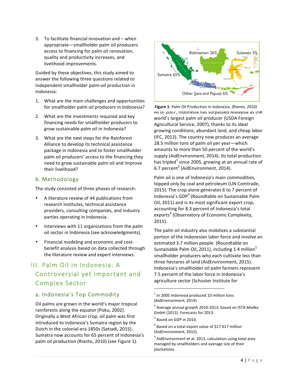3. To facilitate financial innovation and  $-$  when appropriate—smallholder palm oil producers access to financing for palm oil renovation, quality and productivity increases, and livelihood improvements.

Guided by these objectives, this study aimed to answer the following three questions related to independent smallholder palm-oil production in Indonesia:

- 1. What are the main challenges and opportunities for smallholder palm oil producers in Indonesia?
- 2. What are the investments required and key financing needs for smallholder producers to grow sustainable palm oil in Indonesia?
- 3. What are the next steps for the Rainforest Alliance to develop its technical assistance package in Indonesia and to foster smallholder palm oil producers' access to the financing they need to grow sustainable palm oil and improve their livelihood?

### b. Methodology)

The study consisted of three phases of research:

- A literature review of 44 publications from research institutes, technical assistance providers, consulting companies, and industry parties operating in Indonesia.
- Interviews with 11 organizations from the palm oil sector in Indonesia (see acknowledgments).
- Financial modeling and economic and costbenefit analysis based on data collected through the literature review and expert interviews.

### III. Palm Oil in Indonesia: A Controversial yet Important and Complex Sector

### a. Indonesia's Top Commodity

Oil palms are grown in the world's major tropical rainforests along the equator (Poku, 2002). Originally a West African crop, oil palm was first introduced to Indonesia's Sumatra region by the Dutch in the colonial-era 1850s (Setiadi, 2015). Sumatra now accounts for 65 percent of Indonesia's palm oil production (Rianto, 2010) (see Figure 1).



As or 2007, indonesia has surpassed malaysia as the world's largest palm oil producer (USDA Foreign Agricultural Service, 2007), thanks to its ideal growing conditions, abundant land, and cheap labor (IFC, 2013). The country now produces an average 28.5 million tons of palm oil per year—which amounts to more than 50 percent of the world's supply (AidEnvironment, 2014). Its total production has tripled<sup>1</sup> since 2005, growing at an annual rate of 6.7 percent<sup>2</sup> (AidEnvironment, 2014). **Figure 1**: Palm Oil Production in Indonesia. *(Rianto, 2010)* 

Palm oil is one of Indonesia's main commodities, topped only by coal and petroleum (UN Comtrade, 2015). The crop alone generates 6 to 7 percent of Indonesia's  $GDP<sup>3</sup>$  (Roundtable on Sustainable Palm Oil. 2011) and is its most significant export crop, accounting for 8.3 percent of Indonesia's total exports<sup>4</sup> (Observatory of Economic Complexity,  $2015$ ).

The palm oil industry also mobilizes a substantial portion of the Indonesian labor force and involve an estimated 3.7 million people (Roundtable on Sustainable Palm Oil, 2011), including 1.4 million<sup>5</sup> smallholder producers who each cultivate less than three hectares of land (AidEnvironment, 2015). Indonesia's smallholder oil palm farmers represent 7.5 percent of the labor force in Indonesia's agriculture sector (Schuster Institute for

 $1$  In 2005 Indonesia produced 10 million tons (AidEnvironment, 2014)

!!!!!!!!!!!!!!!!!!!!!!!!!!!!!!!!!!!!!!!! !!!!!!!!!!!!!!!!!!!!

 $2$  Average annual growth 2010-2013; based on ISTA Mielke GmbH (2013). Forecasts for 2013.

 $3$  Based on GDP in 2010.

 $4$  Based on a total export value of \$17.617 million (AidEnvironment, 2015).

 $<sup>5</sup>$  AidEnvironment et al. 2013, calculation using total area</sup> managed by smallholders and average size of their plantations.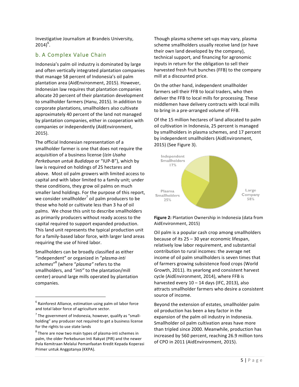Investigative Journalism at Brandeis University,  $2014)^6$ .

### b. A Complex Value Chain

Indonesia's palm oil industry is dominated by large and often vertically integrated plantation companies that manage 58 percent of Indonesia's oil palm plantation area (AidEnvironment, 2015). However, Indonesian law requires that plantation companies allocate 20 percent of their plantation development to smallholder farmers (Hanu, 2015). In addition to corporate plantations, smallholders also cultivate approximately 40 percent of the land not managed by plantation companies, either in cooperation with companies or independently (AidEnvironment, 2015).

The official Indonesian representation of a smallholder farmer is one that does not require the acquisition of a business license (Izin Usaha *Perkebunan untuk Budidaya* or "IUP-B"), which by law is required on holdings of 25 hectares and above. Most oil palm growers with limited access to capital and with labor limited to a family unit; under these conditions, they grow oil palms on much smaller land holdings. For the purpose of this report, we consider smallholder<sup>7</sup> oil palm producers to be those who hold or cultivate less than 3 ha of oil palms. We chose this unit to describe smallholders as primarily producers without ready access to the capital required to support expanded production. This land unit represents the typical production unit for a family-based labor force, with larger land areas requiring the use of hired labor.

Smallholders can be broadly classified as either "independent" or organized in "*plasma-inti* schemes"<sup>8</sup> (where "plasma" refers to the smallholders, and "inti" to the plantation/mill center) around large mills operated by plantation companies.

!!!!!!!!!!!!!!!!!!!!!!!!!!!!!!!!!!!!!!!! !!!!!!!!!!!!!!!!!!!!

Though plasma scheme set-ups may vary, plasma scheme smallholders usually receive land (or have their own land developed by the company), technical support, and financing for agronomic inputs in return for the obligation to sell their harvested fresh fruit bunches (FFB) to the company mill at a discounted price.

On the other hand, independent smallholder farmers sell their FFB to local traders, who then deliver the FFB to local mills for processing. These middlemen have delivery contracts with local mills to bring in a pre-arranged volume of FFB.

Of the 15 million hectares of land allocated to palm oil cultivation in Indonesia, 25 percent is managed by smallholders in plasma schemes, and 17 percent by independent smallholders (AidEnvironment, 2015) (See Figure 3).



Figure 2: Plantation Ownership in Indonesia (data from AidEnvironment, 2015)

Oil palm is a popular cash crop among smallholders because of its  $25 - 30$  year economic lifespan, relatively low labor requirement, and substantial contribution to rural incomes: the average net income of oil palm smallholders is seven times that of farmers growing subsistence food crops (World Growth, 2011). Its yearlong and consistent harvest cycle (AidEnvironment, 2014), where FFB is harvested every  $10 - 14$  days (IFC, 2013), also attracts smallholder farmers who desire a consistent source of income.

Beyond the extension of estates, smallholder palm oil production has been a key factor in the expansion of the palm oil industry in Indonesia. Smallholder oil palm cultivation areas have more than tripled since 2000. Meanwhile, production has increased by 560 percent, reaching 26.9 million tons of CPO in 2011 (AidEnvironment, 2015).

 $6$  Rainforest Alliance, estimation using palm oil labor force and total labor force of agriculture sector.

 $<sup>7</sup>$  The government of Indonesia, however, qualify as "small-</sup> holding" any producer not required to get a business license for the rights to use state lands

 $8$  There are now two main types of plasma-inti schemes in palm, the older Perkebunan Inti Rakyat (PIR) and the newer Pola Kemitraan Melalui Pemanfaatan Kredit Kepada Koperasi Primer untuk Anggotanya (KKPA).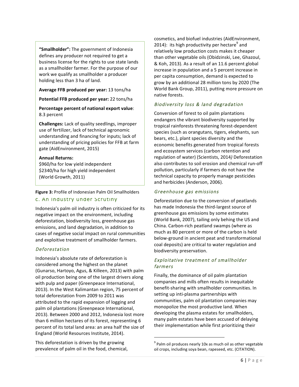"Smallholder": The government of Indonesia defines any producer not required to get a business license for the rights to use state lands as a smallholder farmer. For the purpose of our work we qualify as smallholder a producer holding less than 3 ha of land.

Average FFB produced per year: 13 tons/ha

Potential FFB produced per year: 22 tons/ha

Percentage percent of national export value: 8.3 percent

**Challenges:** Lack of quality seedlings, improper use of fertilizer, lack of technical agronomic understanding and financing for inputs; lack of understanding of pricing policies for FFB at farm gate (AidEnvironment, 2015)

#### **Annual Returns:**

\$960/ha for low yield independent \$2340/ha for high yield independent (World Growth, 2011)

**Figure 3:** Profile of Indonesian Palm Oil Smallholders

#### c. An Industry under Scrutiny

Indonesia's palm oil industry is often criticized for its negative impact on the environment, including deforestation, biodiversity loss, greenhouse gas emissions, and land degradation, in addition to cases of negative social impact on rural communities and exploitive treatment of smallholder farmers.

#### Deforestation+

Indonesia's absolute rate of deforestation is considered among the highest on the planet (Gunarso, Hartoyo, Agus, & Killeen, 2013) with palm oil production being one of the largest drivers along with pulp and paper (Greenpeace International, 2013). In the West Kalimantan region, 75 percent of total deforestation from 2009 to 2011 was attributed to the rapid expansion of logging and palm oil plantations (Greenpeace International, 2013). Between 2000 and 2012, Indonesia lost more than 6 million hectares of its forest, representing 6 percent of its total land area: an area half the size of England (World Resources Institute, 2014).

This deforestation is driven by the growing prevalence of palm oil in the food, chemical,

cosmetics, and biofuel industries (AidEnvironment, 2014): its high productivity per hectare and relatively low production costs makes it cheaper than other vegetable oils (Obidzinski, Lee, Ghazoul, & Koh, 2013). As a result of an 11.6 percent global increase in population and a 5 percent increase in per capita consumption, demand is expected to grow by an additional 28 million tons by 2020 (The World Bank Group, 2011), putting more pressure on native forests.

#### Biodiversity loss & land degradation

Conversion of forest to oil palm plantations endangers the vibrant biodiversity supported by tropical rainforests threatening forest-dependent species (such as orangutans, tigers, elephants, sun bears, etc.), plant species diversity and the economic benefits generated from tropical forests and ecosystem services (carbon retention and regulation of water) (Scientists, 2014) Deforestation also contributes to soil erosion and chemical run-off pollution, particularly if farmers do not have the technical capacity to properly manage pesticides and herbicides (Anderson, 2006).

#### Greenhouse gas emissions

Deforestation due to the conversion of peatlands has made Indonesia the third-largest source of greenhouse gas emissions by some estimates (World Bank, 2007), tailing only behing the US and China. Carbon-rich peatland swamps (where as much as 80 percent or more of the carbon is held below-ground in ancient peat and transformational coal deposits) are critical to water regulation and biodiversity preservation.

#### Exploitative treatment of smallholder farmers+

Finally, the dominance of oil palm plantation companies and mills often results in inequitable benefit-sharing with smallholder communities. In setting up inti-plasma partnerships with communities, palm oil plantation companies may monopolize the most productive land. When developing the plasma estates for smallholders, many palm estates have been accused of delaying their implementation while first prioritizing their

!!!!!!!!!!!!!!!!!!!!!!!!!!!!!!!!!!!!!!!! !!!!!!!!!!!!!!!!!!!!

 $9$  Palm oil produces nearly 10x as much oil as other vegetable oil crops, including soya bean, rapeseed, etc. (CITATION).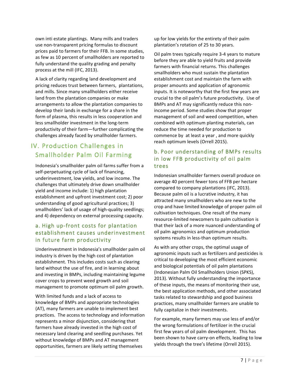own inti estate plantings. Many mills and traders use non-transparent pricing formulas to discount prices paid to farmers for their FFB. In some studies, as few as 10 percent of smallholders are reported to fully understand the quality grading and penalty process at the mill (IFC, 2013).

A lack of clarity regarding land development and pricing reduces trust between farmers, plantations, and mills. Since many smallholders either receive land from the plantation companies or make arrangements to allow the plantation companies to develop their lands in exchange for a share in the form of plasma, this results in less cooperation and less smallholder investment in the long-term productivity of their farm—further complicating the challenges already faced by smallholder farmers.

### IV. Production Challenges in Smallholder Palm Oil Farming

Indonesia's smallholder palm oil farms suffer from a self-perpetuating cycle of lack of financing, underinvestment, low yields, and low income. The challenges that ultimately drive down smallholder yield and income include: 1) high plantation establishment and upfront investment cost; 2) poor understanding of good agricultural practices; 3) smallholders' lack of usage of high-quality seedlings; and 4) dependency on external processing capacity.

### a. High up-front costs for plantation establishment causes underinvestment in future farm productivity

Underinvestment in Indonesia's smallholder palm oil industry is driven by the high cost of plantation establishment. This includes costs such as clearing land without the use of fire, and in learning about and investing in BMPs, including maintaining legume cover crops to prevent weed growth and soil management to promote optimum oil palm growth.

With limited funds and a lack of access to knowledge of BMPs and appropriate technologies (AT), many farmers are unable to implement best practices. The access to technology and information represents a minor disjunction, considering that farmers have already invested in the high cost of necessary land clearing and seedling purchases. Yet without knowledge of BMPs and AT management opportunities, farmers are likely setting themselves

up for low yields for the entirety of their palm plantation's rotation of 25 to 30 years.

Oil palm trees typically require 3-4 years to mature before they are able to yield fruits and provide farmers with financial returns. This challenges smallholders who must sustain the plantation establishment cost and maintain the farm with proper amounts and application of agronomic inputs. It is noteworthy that the first few years are crucial to the oil palm's future productivity. Use of BMPs and AT may significantly reduce this nonincome period. Some studies show that proper management of soil and weed competition, when combined with optimum planting materials, can reduce the time needed for production to commence by at least a year, and more quickly reach optimum levels (Orrell 2015).

### b. Poor understanding of BMPs results in low FFB productivity of oil palm trees)

Indonesian smallholder farmers overall produce on average 40 percent fewer tons of FFB per hectare compared to company plantations (IFC, 2013). Because palm oil is a lucrative industry, it has attracted many smallholders who are new to the crop and have limited knowledge of proper palm oil cultivation techniques. One result of the many resource-limited newcomers to palm cultivation is that their lack of a more nuanced understanding of oil palm agronomics and optimum production systems results in less-than optimum results.

As with any other crops, the optimal usage of agronomic inputs such as fertilizers and pesticides is critical to developing the most efficient economic and biological potentials of oil palm plantations (Indonesian Palm Oil Smallholders Union (SPKS), 2013). Without fully understanding the importance of these inputs, the means of monitoring their use, the best application methods, and other associated tasks related to stewardship and good business practices, many smallholder farmers are unable to fully capitalize in their investments.

For example, many farmers may use less of and/or the wrong formulations of fertilizer in the crucial first few years of oil palm development. This has been shown to have carry-on effects, leading to low yields through the tree's lifetime (Orrell 2015).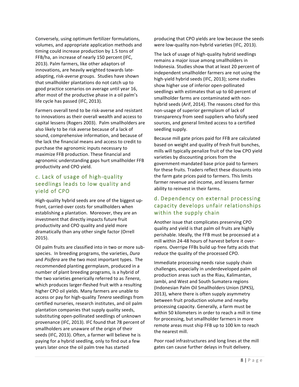Conversely, using optimum fertilizer formulations, volumes, and appropriate application methods and timing could increase production by 1.5 tons of FFB/ha, an increase of nearly 150 percent (IFC, 2013). Palm farmers, like other adaptors of innovations, are heavily weighted towards lateadapting, risk-averse groups. Studies have shown that smallholder plantations do not catch up to good practice scenarios on average until year 16, after most of the productive phase in a oil palm's life cycle has passed (IFC, 2013).

Farmers overall tend to be risk-averse and resistant to innovations as their overall wealth and access to capital lessens (Rogers 2003). Palm smallholders are also likely to be risk averse because of a lack of sound, comprehensive information, and because of the lack the financial means and access to credit to purchase the agronomic inputs necessary to maximize FFB production. These financial and agronomic understanding gaps hurt smallholder FFB productivity and CPO yield.

### c. Lack of usage of high-quality seedlings leads to low quality and vield of CPO

High-quality hybrid seeds are one of the biggest upfront, carried-over costs for smallholders when establishing a plantation. Moreover, they are an investment that directly impacts future fruit productivity and CPO quality and yield more dramatically than any other single factor (Orrell 2015).

Oil palm fruits are classified into in two or more subspecies. In breeding programs, the varieties, *Dura* and Pisifera are the two most important types. The recommended planting germplasm, produced in a number of plant breeding programs, is a hybrid of the two varieties generically referred to as *Tenera*, which produces larger-fleshed fruit with a resulting higher CPO oil yields. Many farmers are unable to access or pay for high-quality *Tenera* seedlings from certified nurseries, research institutes, and oil palm plantation companies that supply quality seeds, substituting open-pollinated seedlings of unknown provenance (IFC, 2013). IFC found that 78 percent of smallholders are unaware of the origin of their seeds (IFC, 2013). Often, a farmer will believe he is paying for a hybrid seedling, only to find out a few years later once the oil palm tree has started

producing that CPO yields are low because the seeds were low-quality non-hybrid varieties (IFC, 2013).

The lack of usage of high-quality hybrid seedlings remains a major issue among smallholders in Indonesia. Studies show that at least 20 percent of independent smallholder farmers are not using the high-yield hybrid seeds (IFC, 2013); some studies show higher use of inferior open-pollinated seedlings with estimates that up to 60 percent of smallholder farms are contaminated with nonhybrid seeds (Arif, 2014). The reasons cited for this non-usage of superior germplasm of lack of transparency from seed suppliers who falsify seed sources, and general limited access to a certified seedling supply.

Because mill gate prices paid for FFB are calculated based on weight and quality of fresh fruit bunches, mills will typically penalize fruit of the low CPO yield varieties by discounting prices from the government-mandated base price paid to farmers for these fruits. Traders reflect these discounts into the farm gate prices paid to farmers. This limits farmer revenue and income, and lessens farmer ability to reinvest in their farms.

### d. Dependency on external processing capacity develops unfair relationships within the supply chain

Another issue that complicates preserving CPO quality and yield is that palm oil fruits are highly perishable. Ideally, the FFB must be processed at a mill within 24-48 hours of harvest before it overripens. Overripe FFBs build up free fatty acids that reduce the quality of the processed CPO.

Immediate processing needs raise supply chain challenges, especially in underdeveloped palm oil production areas such as the Riau, Kalimantan, Jambi, and West and South Sumatera regions (Indonesian Palm Oil Smallholders Union (SPKS), 2013), where there is often supply asymmetry between fruit production volume and nearby processing capacity. Generally, a farm must be within 50 kilometers in order to reach a mill in time for processing, but smallholder farmers in more remote areas must ship FFB up to 100 km to reach the nearest mill.

Poor road infrastructures and long lines at the mill gates can cause further delays in fruit delivery.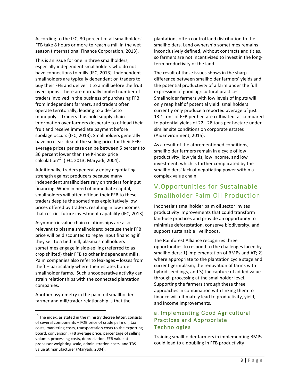According to the IFC, 30 percent of all smallholders' FFB take 8 hours or more to reach a mill in the wet season (International Finance Corporation, 2013).

This is an issue for one in three smallholders, especially independent smallholders who do not have connections to mills (IFC, 2013). Independent smallholders are typically dependent on traders to buy their FFB and deliver it to a mill before the fruit over-ripens. There are normally limited number of traders involved in the business of purchasing FFB from independent farmers, and traders often operate territorially, leading to a de-facto monopoly. Traders thus hold supply chain information over farmers desperate to offload their fruit and receive immediate payment before spoilage occurs (IFC, 2013). Smallholders generally have no clear idea of the selling price for their FFB: average prices per case can be between 5 percent to 36 percent lower than the K-index price calculation $^{10}$  (IFC, 2013; Maryadi, 2004).

Additionally, traders generally enjoy negotiating strength against producers because many independent smallholders rely on traders for input financing. When in need of immediate capital, smallholders will often offload their FFB to these traders despite the sometimes exploitatively low prices offered by traders, resulting in low incomes that restrict future investment capability (IFC, 2013).

Asymmetric value chain relationships are also relevant to plasma smallholders: because their FFB price will be discounted to repay input financing if they sell to a tied mill, plasma smallholders sometimes engage in side-selling (referred to as crop shifted) their FFB to other independent mills. Palm companies also refer to leakages – losses from  $theft$  – particularly where their estates border smallholder farms. Such uncooperative activity can strain relationships with the connected plantation companies.

Another asymmetry in the palm oil smallholder farmer and mill/trader relationship is that the

!!!!!!!!!!!!!!!!!!!!!!!!!!!!!!!!!!!!!!!! !!!!!!!!!!!!!!!!!!!!

plantations often control land distribution to the smallholders. Land ownership sometimes remains inconclusively defined, without contracts and titles, so farmers are not incentivized to invest in the longterm productivity of the land.

The result of these issues shows in the sharp difference between smallholder farmers' yields and the potential productivity of a farm under the full expression of good agricultural practices. Smallholder farmers with low levels of inputs will only reap half of potential yield: smallholders currently only produce a reported average of just 13.1 tons of FFB per hectare cultivated, as compared to potential yields of 22 - 28 tons per hectare under similar site conditions on corporate estates (AidEnvironment, 2015).

As a result of the aforementioned conditions, smallholder farmers remain in a cycle of low productivity, low yields, low income, and low investment, which is further complicated by the smallholders' lack of negotiating power within a complex value chain.

### V. Opportunities for Sustainable Smallholder Palm Oil Production

Indonesia's smallholder palm oil sector invites productivity improvements that could transform land-use practices and provide an opportunity to minimize deforestation, conserve biodiversity, and support sustainable livelihoods.

The Rainforest Alliance recognizes three opportunities to respond to the challenges faced by smallholders: 1) implementation of BMPs and AT; 2) where appropriate to the plantation cycle stage and current germplasm, the renovation of farms with hybrid seedlings, and 3) the capture of added value through processing at the smallholder level. Supporting the farmers through these three approaches in combination with linking them to finance will ultimately lead to productivity, yield, and income improvements.

### a. Implementing Good Agricultural Practices and Appropriate **Technologies**

Training smallholder farmers in implementing BMPs could lead to a doubling in FFB productivity

 $10$  The index, as stated in the ministry decree letter, consists of several components  $-$  FOB price of crude palm oil, tax costs, marketing costs, transportation costs to the exporting board, conversion, FFB average price, percentage of selling volume, processing costs, depreciation, FFB value at processor weighting scale, administration costs, and TBS value at manufacturer (Maryadi, 2004).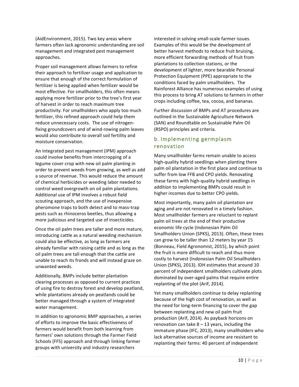(AidEnvironment, 2015). Two key areas where farmers often lack agronomic understanding are soil management and integrated pest management approaches.

Proper soil management allows farmers to refine their approach to fertilizer usage and application to ensure that enough of the correct formulation of fertilizer is being applied when fertilizer would be most effective. For smallholders, this often means applying more fertilizer prior to the tree's first year of harvest in order to reach maximum tree productivity. For smallholders who apply too much fertilizer, this refined approach could help them reduce unnecessary costs. The use of nitrogenfixing groundcovers and of wind-rowing palm leaves would also contribute to overall soil fertility and moisture conservation.

An integrated pest management (IPM) approach could involve benefits from intercropping of a legume cover crop with new oil palm planting in order to prevent weeds from growing, as well as add a source of revenue. This would reduce the amount of chemical herbicides or weeding labor needed to control weed overgrowth on oil palm plantations. Additional use of IPM involves a robust field scouting approach, and the use of inexpensive pheromone traps to both detect and to mass-trap pests such as rhinoceros beetles, thus allowing a more judicious and targeted use of insecticides.

Once the oil palm trees are taller and more mature, introducing cattle as a natural weeding mechanism could also be effective, as long as farmers are already familiar with raising cattle and as long as the oil palm trees are tall enough that the cattle are unable to reach its fronds and will instead graze on unwanted weeds.

Additionally, BMPs include better plantation clearing processes as opposed to current practices of using fire to destroy forest and develop peatland, while plantations already on peatlands could be better managed through a system of integrated water management.

In addition to agronomic BMP approaches, a series of efforts to improve the basic effectiveness of farmers would benefit from both learning from farmers' own solutions through the Farmer Field Schools (FFS) approach and through linking farmer groups with university and industry researchers

interested in solving small-scale farmer issues. Examples of this would be the development of better harvest methods to reduce fruit bruising, more efficient forwarding methods of fruit from plantations to collection stations, or the development of lighter, more bearable Personal Protection Equipment (PPE) appropriate to the conditions faced by palm smallholders. The Rainforest Alliance has numerous examples of using this process to bring AT solutions to farmers in other crops including coffee, tea, cocoa, and bananas.

Further discussion of BMPs and AT procedures are outlined in the Sustainable Agriculture Network (SAN) and Roundtable on Sustainable Palm Oil (RSPO) principles and criteria.

### b. Implementing germplasm renovation)

Many smallholder farms remain unable to access high-quality hybrid seedlings when planting there palm oil plantation in the first place and continue to suffer from low FFB and CPO yields. Renovating these farms with high-quality hybrid seedlings in addition to implementing BMPs could result in higher incomes due to better CPO yields.

Most importantly, many palm oil plantation are aging and are not renovated in a timely fashion. Most smallholder farmers are reluctant to replant palm oil trees at the end of their productive economic life cycle (Indonesian Palm Oil Smallholders Union (SPKS), 2013). Often, these trees can grow to be taller than 12 meters by year 15 (Bonneau, Field Agronomist, 2015), by which point the fruit is more difficult to reach and thus more costly to harvest (Indonesian Palm Oil Smallholders Union (SPKS), 2013). IDH estimates that around 10 percent of independent smallholders cultivate plots dominated by over-aged palms that require entire replanting of the plot (Arif, 2014).

Yet many smallholders continue to delay replanting because of the high cost of renovation, as well as the need for long-term financing to cover the gap between replanting and new oil palm fruit production (Arif, 2014). As payback horizons on renovation can take  $8 - 13$  years, including the immature phase (IFC, 2013), many smallholders who lack alternative sources of income are resistant to replanting their farms: 40 percent of independent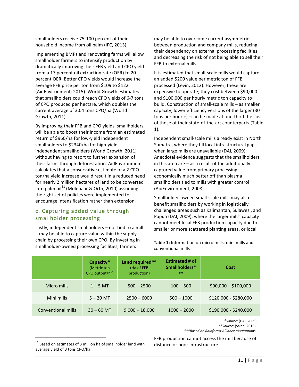smallholders receive 75-100 percent of their household income from oil palm (IFC, 2013).

Implementing BMPs and renovating farms will allow smallholder farmers to intensify production by dramatically improving their FFB yield and CPO yield from a 17 percent oil extraction rate (OER) to 20 percent OER. Better CPO yields would increase the average FFB price per ton from \$109 to \$122 (AidEnvironment, 2015). World Growth estimates that smallholders could reach CPO yields of 6-7 tons of CPO produced per hectare, which doubles the current average of 3.04 tons CPO/ha (World Growth, 2011).

By improving their FFB and CPO yields, smallholders will be able to boost their income from an estimated return of \$960/ha for low-yield independent smallholders to \$2340/ha for high-yield independent smallholders (World Growth, 2011) without having to resort to further expansion of their farms through deforestation. AidEnvironment calculates that a conservative estimate of a 2 CPO ton/ha yield increase would result in a reduced need for nearly 2 million hectares of land to be converted into palm oil<sup>11</sup> (Molenaar & Orth, 2010) assuming the right set of policies were implemented to encourage intensification rather than extension.

### c. Capturing added value through smallholder processing

Lastly, independent smallholders – not tied to a mill  $-$  may be able to capture value within the supply chain by processing their own CPO. By investing in smallholder-owned processing facilities, farmers

may be able to overcome current asymmetries between production and company mills, reducing their dependency on external processing facilities and decreasing the risk of not being able to sell their FFB to external mills.

It is estimated that small-scale mills would capture an added \$200 value per metric ton of FFB processed (Levin, 2012). However, these are expensive to operate; they cost between \$90,000 and \$100,000 per hourly metric ton capacity to build. Construction of small-scale mills  $-$  as smaller capacity, lower efficiency versions of the larger (30 tons per hour  $+$ ) –can be made at one-third the cost of those of their state-of-the-art counterparts (Table 1).

Independent small-scale mills already exist in North Sumatra, where they fill local infrastructural gaps when large mills are unavailable (DAI, 2009). Anecdotal evidence suggests that the smallholders in this area are – as a result of the additionally captured value from primary processing  $$ economically much better off than plasma smallholders tied to mills with greater control (AidEnvironment, 2008).

Smallholder-owned small-scale mills may also benefit smallholders by working in logistically challenged areas such as Kalimantan, Sulawesi, and Papua (DAI, 2009), where the larger mills' capacity cannot meet local FFB production capacity due to smaller or more scattered planting areas, or local

Table 1: Information on micro mills, mini mills and conventional mills

|                    | Capacity*<br>(Metric ton<br>CPO output/hr) | Land required**<br>(Ha of FFB<br>production) | <b>Estimated # of</b><br>Smallholders*<br>** | Cost                  |
|--------------------|--------------------------------------------|----------------------------------------------|----------------------------------------------|-----------------------|
| Micro mills        | $1 - 5$ MT                                 | $500 - 2500$                                 | $100 - 500$                                  | $$90,000 - $100,000$  |
| Mini mills         | $5 - 20$ MT                                | $2500 - 6000$                                | $500 - 1000$                                 | \$120,000 - \$280,000 |
| Conventional mills | $30 - 60$ MT                               | $9,000 - 18,000$                             | $1000 - 2000$                                | \$190,000 - \$240,000 |

*\*Source:#*(DAI,!2009) *\*\*Source:#*(Saleh,!2015)*.*

 $***$ Based on Rainforest Alliance assumptions.

!!!!!!!!!!!!!!!!!!!!!!!!!!!!!!!!!!!!!!!! !!!!!!!!!!!!!!!!!!!!

FFB production cannot access the mill because of distance or poor infrastructure.

 $11$  Based on estimates of 3 million ha of smallholder land with average yield of 3 tons CPO/ha.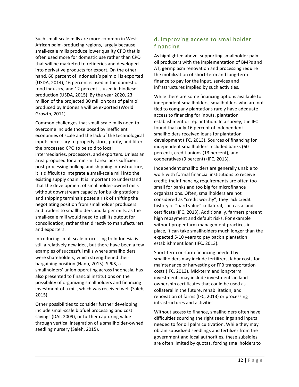Such small-scale mills are more common in West African palm-producing regions, largely because small-scale mills produce lower quality CPO that is often used more for domestic use rather than CPO that will be marketed to refineries and developed into derivative products for export. On the other hand, 60 percent of Indonesia's palm oil is exported (USDA, 2014), 16 percent is used in the domestic food industry, and 12 percent is used in biodiesel production (USDA, 2015). By the year 2020, 23 million of the projected 30 million tons of palm oil produced by Indonesia will be exported (World Growth, 2011).

Common challenges that small-scale mills need to overcome include those posed by inefficient economies of scale and the lack of the technological inputs necessary to properly store, purify, and filter the processed CPO to be sold to local intermediaries, processors, and exporters. Unless an area proposed for a mini-mill area lacks sufficient post-processing bulking and shipping infrastructure, it is difficult to integrate a small-scale mill into the existing supply chain. It is important to understand that the development of smallholder-owned mills without downstream capacity for bulking stations and shipping terminals poses a risk of shifting the negotiating position from smallholder producers and traders to smallholders and larger mills, as the small-scale mill would need to sell its output for consolidation, rather than directly to manufacturers and exporters.

Introducing small-scale processing to Indonesia is still a relatively new idea, but there have been a few examples of successful mills where smallholders were shareholders, which strengthened their bargaining position (Hanu, 2015). SPKS, a smallholders' union operating across Indonesia, has also presented to financial institutions on the possibility of organizing smallholders and financing investment of a mill, which was received well (Saleh,  $2015$ ).

Other possibilities to consider further developing include small-scale biofuel processing and cost savings (DAI, 2009), or further capturing value through vertical integration of a smallholder-owned seedling nursery (Saleh, 2015).

### d. Improving access to smallholder financing)

As highlighted above, supporting smallholder palm oil producers with the implementation of BMPs and AT, germplasm renovation and processing require the mobilization of short-term and long-term finance to pay for the input, services and infrastructures implied by such activities.

While there are some financing options available to independent smallholders, smallholders who are not tied to company plantations rarely have adequate access to financing for inputs, plantation establishment or replantation. In a survey, the IFC found that only 16 percent of independent smallholders received loans for plantation development (IFC, 2013). Sources of financing for independent smallholders included banks (60 percent), credit unions (13 percent), and cooperatives (9 percent) (IFC, 2013).

Independent smallholders are generally unable to work with formal financial institutions to receive credit: their financing requirements are often too small for banks and too big for microfinance organizations. Often, smallholders are not considered as "credit worthy"; they lack credit history or "hard value" collateral, such as a land certificate (IFC, 2013). Additionally, farmers present high repayment and default risks. For example without proper farm management practices in place, it can take smallholders much longer than the expected 5-10 years to pay back a plantation establishment loan (IFC, 2013).

Short-term on-farm financing needed by smallholders may include fertilizers, labor costs for maintenance or harvesting or FFB transportation costs (IFC, 2013). Mid-term and long-term investments may include investments in land ownership certificates that could be used as collateral in the future, rehabilitation, and renovation of farms (IFC, 2013) or processing infrastructures and activities.

Without access to finance, smallholders often have difficulties sourcing the right seedlings and inputs needed to for oil palm cultivation. While they may obtain subsidized seedlings and fertilizer from the government and local authorities, these subsidies are often limited by quotas, forcing smallholders to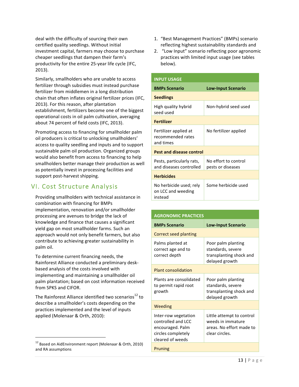deal with the difficulty of sourcing their own certified quality seedlings. Without initial investment capital, farmers may choose to purchase cheaper seedlings that dampen their farm's productivity for the entire 25-year life cycle (IFC, 2013).

Similarly, smallholders who are unable to access fertilizer through subsidies must instead purchase fertilizer from middlemen in a long distribution chain that often inflates original fertilizer prices (IFC, 2013). For this reason, after plantation establishment, fertilizers become one of the biggest operational costs in oil palm cultivation, averaging about 74 percent of field costs (IFC, 2013).

Promoting access to financing for smallholder palm oil producers is critical to unlocking smallholders' access to quality seedling and inputs and to support sustainable palm oil production. Organized groups would also benefit from access to financing to help smallholders better manage their production as well as potentially invest in processing facilities and support post-harvest shipping.

### VI. Cost Structure Analysis

Providing smallholders with technical assistance in combination with financing for BMPs implementation, renovation and/or smallholder processing are avenues to bridge the lack of knowledge and finance that causes a significant yield gap on most smallholder farms. Such an approach would not only benefit farmers, but also contribute to achieving greater sustainability in palm oil.

To determine current financing needs, the Rainforest Alliance conducted a preliminary deskbased analysis of the costs involved with implementing and maintaining a smallholder oil palm plantation; based on cost information received from SPKS and CIFOR.

The Rainforest Alliance identified two scenarios<sup>12</sup> to describe a smallholder's costs depending on the practices implemented and the level of inputs applied (Molenaar & Orth, 2010):

!!!!!!!!!!!!!!!!!!!!!!!!!!!!!!!!!!!!!!!! !!!!!!!!!!!!!!!!!!!!

- 1. "Best Management Practices" (BMPs) scenario reflecting highest sustainability standards and
- 2. "Low Input" scenario reflecting poor agronomic practices with limited input usage (see tables below).

| <b>INPUT USAGE</b>                                       |                                           |  |  |  |
|----------------------------------------------------------|-------------------------------------------|--|--|--|
| <b>BMPs Scenario</b>                                     | <b>Low-Input Scenario</b>                 |  |  |  |
| <b>Seedlings</b>                                         |                                           |  |  |  |
| High quality hybrid<br>seed used                         | Non-hybrid seed used                      |  |  |  |
| <b>Fertilizer</b>                                        |                                           |  |  |  |
| Fertilizer applied at<br>recommended rates<br>and times  | No fertilizer applied                     |  |  |  |
| <b>Pest and disease control</b>                          |                                           |  |  |  |
| Pests, particularly rats,<br>and diseases controlled     | No effort to control<br>pests or diseases |  |  |  |
| <b>Herbicides</b>                                        |                                           |  |  |  |
| No herbicide used; rely<br>on LCC and weeding<br>instead | Some herbicide used                       |  |  |  |

| <b>AGRONOMIC PRACTICES</b>                                                                               |                                                                                              |  |  |  |
|----------------------------------------------------------------------------------------------------------|----------------------------------------------------------------------------------------------|--|--|--|
| <b>BMPs Scenario</b>                                                                                     | <b>Low-Input Scenario</b>                                                                    |  |  |  |
| Correct seed planting                                                                                    |                                                                                              |  |  |  |
| Palms planted at<br>correct age and to<br>correct depth                                                  | Poor palm planting<br>standards, severe<br>transplanting shock and<br>delayed growth         |  |  |  |
| <b>Plant consolidation</b>                                                                               |                                                                                              |  |  |  |
| Plants are consolidated<br>to permit rapid root<br>growth                                                | Poor palm planting<br>standards, severe<br>transplanting shock and<br>delayed growth         |  |  |  |
| Weeding                                                                                                  |                                                                                              |  |  |  |
| Inter-row vegetation<br>controlled and LCC<br>encouraged. Palm<br>circles completely<br>cleared of weeds | Little attempt to control<br>weeds in immature<br>areas. No effort made to<br>clear circles. |  |  |  |
| Pruning                                                                                                  |                                                                                              |  |  |  |

 $12$  Based on AidEnvironment report (Molenaar & Orth, 2010) and RA assumptions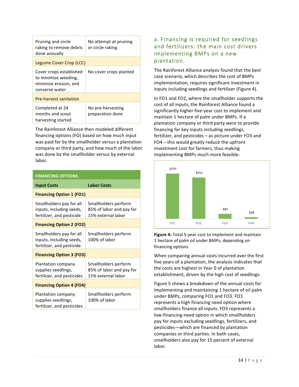| Pruning and circle<br>raking to remove debris<br>done annually                             | No attempt at pruning<br>or circle raking |  |  |
|--------------------------------------------------------------------------------------------|-------------------------------------------|--|--|
| Legume Cover Crop (LCC)                                                                    |                                           |  |  |
| Cover crops established<br>to minimize weeding,<br>minimize erosion, and<br>conserve water | No cover crops planted                    |  |  |
| <b>Pre-harvest sanitation</b>                                                              |                                           |  |  |
| Completed at 24<br>months and scout<br>harvesting started                                  | No pre-harvesting<br>preparation done     |  |  |

The Rainforest Alliance then modeled different financing options (FO) based on how much input was paid for by the smallholder versus a plantation company or third party, and how much of the labor was done by the smallholder versus by external labor.

| <b>FINANCING OPTIONS</b>                                                          |                                                                        |  |  |  |
|-----------------------------------------------------------------------------------|------------------------------------------------------------------------|--|--|--|
| <b>Input Costs</b>                                                                | <b>Labor Costs</b>                                                     |  |  |  |
| <b>Financing Option 1 (FO1)</b>                                                   |                                                                        |  |  |  |
| Smallholders pay for all<br>inputs, including seeds,<br>fertilizer, and pesticide | Smallholders perform<br>85% of labor and pay for<br>15% external labor |  |  |  |
| <b>Financing Option 2 (FO2)</b>                                                   |                                                                        |  |  |  |
| Smallholders pay for all<br>inputs, including seeds,<br>fertilizer, and pesticide | Smallholders perform<br>100% of labor                                  |  |  |  |
| <b>Financing Option 3 (FO3)</b>                                                   |                                                                        |  |  |  |
| Plantation company<br>supplies seedlings,<br>fertilizer, and pesticides           | Smallholders perform<br>85% of labor and pay for<br>15% external labor |  |  |  |
| <b>Financing Option 4 (FO4)</b>                                                   |                                                                        |  |  |  |
| Plantation company<br>supplies seedlings,<br>fertilizer, and pesticides           | Smallholders perform<br>100% of labor                                  |  |  |  |

### a. Financing is required for seedlings and fertilizers: the main cost drivers implementing BMPs on a new plantation.))

The Rainforest Alliance analysis found that the best case scenario, which describes the cost of BMPs implementation, requires significant investment in inputs including seedlings and fertilizer (Figure 4).

In FO1 and FO2, where the smallholder supports the cost of all inputs, the Rainforest Alliance found a significantly higher five-year cost to implement and maintain 1 hectare of palm under BMPs. If a plantation company or third party were to provide financing for key inputs including seedlings, fertilizer, and pesticides  $-$  as picture under FO3 and  $FO4$  – this would greatly reduce the upfront investment cost for farmers, thus making implementing BMPs much more feasible.



**Figure 4:** Total 5-year cost to implement and maintain 1 hectare of palm oil under BMPs; depending on financing options

When comparing annual costs incurred over the first five years of a plantation, the analysis indicates that the costs are highest in Year 0 of plantation establishment, driven by the high cost of seedlings.

Figure 5 shows a breakdown of the annual costs for implementing and maintaining 1 hectare of oil palm under BMPs, comparing FO1 and FO3. FO1 represents a high financing need option where smallholders finance all inputs. FO3 represents a low-financing-need option in which smallholders pay for inputs excluding seedlings, fertilizers, and pesticides—which are financed by plantation companies or third parties. In both cases, smallholders also pay for 15 percent of external labor.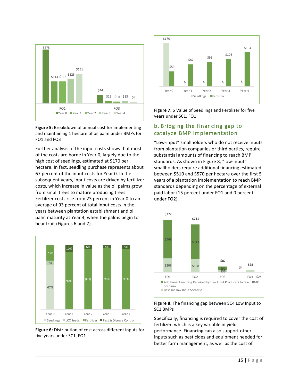

**Figure 5:** Breakdown of annual cost for implementing and maintaining 1 hectare of oil palm under BMPs for FO1 and FO3

Further analysis of the input costs shows that most of the costs are borne in Year 0, largely due to the high cost of seedlings, estimated at \$170 per hectare. In fact, seedling purchase represents about 67 percent of the input costs for Year 0. In the subsequent years, input costs are driven by fertilizer costs, which increase in value as the oil palms grow from small trees to mature producing trees. Fertilizer costs rise from 23 percent in Year 0 to an average of 93 percent of total input costs in the years between plantation establishment and oil palm maturity at Year 4, when the palms begin to bear fruit (Figures 6 and 7).



Figure 6: Distribution of cost across different inputs for five years under SC1, FO1



Figure 7: \$ Value of Seedlings and Fertilizer for five years under SC1, FO1

### b. Bridging the financing gap to catalyze BMP implementation

"Low-input" smallholders who do not receive inputs from plantation companies or third parties, require substantial amounts of financing to reach BMP standards. As shown in Figure 8, "low-input" smallholders require additional financing estimated between \$510 and \$570 per hectare over the first 5 years of a plantation implementation to reach BMP standards depending on the percentage of external paid labor (15 percent under FO1 and 0 percent under FO2).



Figure 8: The financing gap between SC4 Low Input to SC1 BMPs

Specifically, financing is required to cover the cost of fertilizer, which is a key variable in yield performance. Financing can also support other inputs such as pesticides and equipment needed for better farm management, as well as the cost of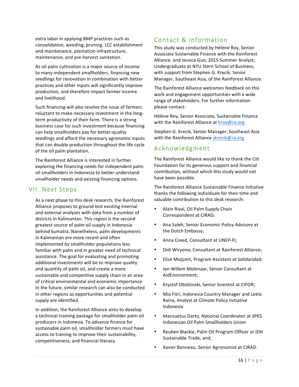extra labor in applying BMP practices such as consolidation, weeding, pruning, LCC establishment and maintenance, plantation infrastructure, maintenance, and pre-harvest sanitation.

As oil palm cultivation is a major source of income to many independent smallholders, financing new seedlings for renovation in combination with better practices and other inputs will significantly improve production, and therefore impact farmer income and livelihood.

Such financing will also resolve the issue of farmers reluctant to make necessary investment in the longterm productivity of their farm. There is a strong business case for such investment because financing can help smallholders pay for better-quality seedlings and afford the necessary agronomic inputs that can double production throughout the life cycle of the oil palm plantation.

The Rainforest Alliance is interested in further exploring the financing needs for independent palm oil smallholders in Indonesia to better understand smallholder needs and existing financing options.

### VII. Next Steps

As a next phase to this desk research, the Rainforest Alliance proposes to ground test existing internal and external analyses with data from a number of districts in Kalimantan. This region is the second greatest source of palm oil supply in Indonesia behind Sumatra. Nonetheless, palm developments in Kalimantan are more recent and often implemented by smallholder populations less familiar with palm and in greater need of technical assistance. The goal for evaluating and promoting additional investments will be to improve quality and quantity of palm oil, and create a more sustainable and competitive supply chain in an area of critical environmental and economic importance. In the future, similar research can also be conducted in other regions as opportunities and potential supply are identified.

In addition, the Rainforest Alliance aims to develop a technical training package for smallholder palm oil producers in Indonesia. To advance finance for sustainable palm oil, smallholder farmers must have access to training to improve their sustainability, competitiveness, and financial literacy.

### Contact)&)Information)

This study was conducted by Hélène Roy, Senior Associate Sustainable Finance with the Rainforest Alliance, and Jessica Guo, 2015 Summer Analyst, Undergraduate at NYU Stern School of Business, with support from Stephen G. Krecik, Senior Manager, Southeast Asia, of the Rainforest Alliance.

The Rainforest Alliance welcomes feedback on this work and engagement opportunities with a wide range of stakeholders. For further information please contact:

Hélène Roy, Senior Associate, Sustainable Finance with the Rainforest Alliance at hroy@ra.org

Stephen G. Krecik, Senior Manager, Southeast Asia with the Rainforest Alliance skrecik@ra.org

### Acknowledgment)

The Rainforest Alliance would like to thank the Citi Foundation for its generous support and financial contribution, without which this study would not have been possible.

The Rainforest Alliance Sustainable Finance Initiative thanks the following individuals for their time and valuable contribution to this desk research:

- Alain Rival, Oil Palm Supply Chain Correspondent at CIRAD;
- Ana Saleh, Senior Economic Policy Advisory at the Dutch Embassy;
- Anna Creed, Consultant at UNEP-FI;
- Didi Wiryono, Consultant at Rainforest Alliance;
- Elise Muijzert, Program Assistant at Solidaridad;
- Jan Willem Molenaar, Senior Consultant at AidEnvironment;
- Krystof Obidzinski, Senior Scientist at CIFOR;
- Mia Fitri, Indonesia Country Manager and Leela Raina, Analyst at Climate Policy Initiative Indonesia
- Mansuetus Darto, National Coordinator at SPKS Indonesian Oil Palm Smallholders Union
- Reuben Blackie, Palm Oil Program Officer at IDH Sustainable Trade, and;
- Xavier Bonneau, Senior Agronomist at CIRAD.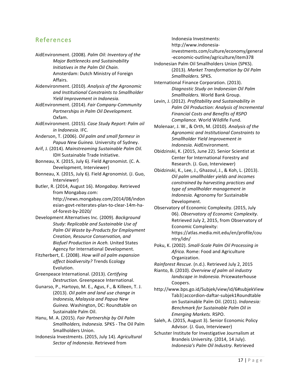### References)

AidEnvironment. (2008). *Palm Oil: Inventory of the* **Major Bottlenecks and Sustainability** *Initiatives in the Palm Oil Chain.* Amsterdam: Dutch Ministry of Foreign Affairs.

Aidenvironment. (2010). Analysis of the Agronomic and Institutional Constraints to Smallholder *Yield Improvement in Indonesia.* 

AidEnvironment. (2014). *Fair Company-Community Partnerships in Palm Oil Development.* Oxfam.

AidEnvironment. (2015). Case Study Report: Palm oil *in#Indonesia.* IFC.

Anderson, T. (2006). *Oil palm and small farmesr in* Papua New Guinea. University of Sydney.

Arif, J. (2014). *Mainstreaming Sustainable Palm Oil.* IDH Sustainable Trade Initiative.

Bonneau, X. (2015, July 6). Field Agronomist. (C. A. Development, Interviewer)

Bonneau, X. (2015, July 6). Field Agronomist. (J. Guo, Interviewer)

Butler, R. (2014, August 16). *Mongabay*. Retrieved from Mongabay.com: http://news.mongabay.com/2014/08/indon esian-govt-reiterates-plan-to-clear-14m-haof-forest-by-2020/

Development Alternatives Inc. (2009). *Background* Study: Replicable and Sustainable Use of *Palm Oil Waste by-Products for Employment* **Creation, Resource Conservation, and Biofuel Production in Aceh. United States** Agency for International Development.

Fitzherbert, E. (2008). How will oil palm expansion *affect#biodiversity?* Trends!Ecology! Evolution.

Greenpeace International. (2013). Certifying **Destruction.** Greenpeace International.

Gunarso, P., Hartoyo, M. E., Agus, F., & Killeen, T. J. (2013). Oil palm and land use change in *Indonesia, Malaysia and Papua New* Guinea. Washington, DC: Roundtable on Sustainable Palm Oil.

Hanu, M. A. (2015). *Fair Partnership by Oil Palm Smallholders, Indonesia. SPKS - The Oil Palm* Smallholders Union.

Indonesia Investments. (2015, July 14). *Agricultural* Sector of Indonesia. Retrieved from

Indonesia Investments: http://www.indonesia-

investments.com/culture/economy/general -economic-outline/agriculture/item378

Indonesian Palm Oil Smallholders Union (SPKS). (2013). Market Transformation by Oil Palm *Smallholders.* SPKS.

International Finance Corporation. (2013). *Diagnostic#Study#on#Indonesian#Oil#Palm# Smallholders.* World!Bank!Group.

Levin, J. (2012). *Profitability and Sustainability in Palm Oil Production: Analysis of Incremental* **Financial Costs and Benefits of RSPO** *Compliance.* World Wildlife Fund.

Molenaar, J. W., & Orth, M. (2010). Analysis of the *Agronomic#and#Institutional#Constraints#to#* **Smallholder Yield Improvement in** *Indonesia.* AidEnvironment.

Obidzinski, K. (2015, June 22). Senior Scientist at Center for International Forestry and Research. (J. Guo, Interviewer)

Obidzinski, K., Lee, J., Ghazoul, J., & Koh, L. (2013). *Oil palm smallholder yields and incomes constrained by harvesting practices and type of smallholder management in Indonesia.* Agronomy for Sustainable Development.

Observatory of Economic Complexity. (2015, July 06). Observatory of Economic Complexity. Retrieved July 2, 2015, from Observatory of Economic Complexity: https://atlas.media.mit.edu/en/profile/cou ntry/idn/

Poku, K. (2002). *Small-Scale Palm Oil Processing in* Africa. Rome: Food and Agriculture Organization.

*Rainforest Rescue. (n.d.). Retrieved July 2, 2015* 

Rianto, B. (2010). *Overview of palm oil industry landscape in Indonesia.* Pricewaterhouse Coopers.

http://www.bps.go.id/Subjek/view/id/6#subjekView Tab3 | accordion-daftar-subjek1Roundtable on Sustainable Palm Oil. (2011). Indonesia: **Benchmark for Sustainable Palm Oil in** *Emerging#Markets.* RSPO.

Saleh, A. (2015, August 3). Senior Economic Policy Advisor. (J. Guo, Interviewer)

Schuster Institute for Investigative Journalism at Brandeis University. (2014, 14 July). *Indonesia's Palm Oil Industry*. Retrieved